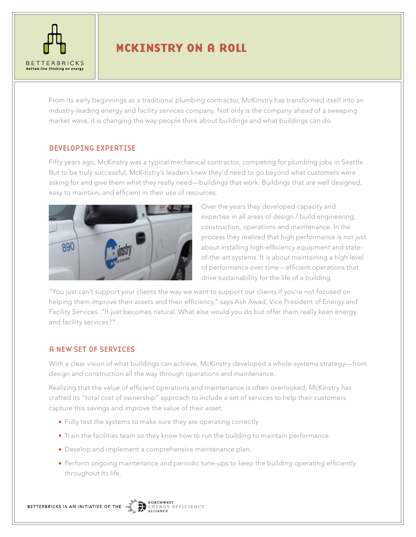

# McKinstry on a Roll

From its early beginnings as a traditional plumbing contractor, McKinstry has transformed itself into an industry-leading energy and facility services company. Not only is the company ahead of a sweeping market wave, it is changing the way people think about buildings and what buildings can do.

## Developing Expertise

Fifty years ago, McKinstry was a typical mechanical contractor, competing for plumbing jobs in Seattle. But to be truly successful, McKinstry's leaders knew they'd need to go beyond what customers were asking for and give them what they really need—buildings that work. Buildings that are well designed, easy to maintain, and efficient in their use of resources.



Over the years they developed capacity and expertise in all areas of design / build engineering, construction, operations and maintenance. In the process they realized that high performance is not just about installing high-efficiency equipment and stateof-the-art systems. It is about maintaining a high level of performance over time – efficient operations that drive sustainability for the life of a building.

"You just can't support your clients the way we want to support our clients if you're not focused on helping them improve their assets and their efficiency," says Ash Awad, Vice President of Energy and Facility Services. "It just becomes natural. What else would you do but offer them really keen energy and facility services?"

## A New Set of Services

With a clear vision of what buildings can achieve, McKinstry developed a whole-systems strategy—from design and construction all the way through operations and maintenance.

Realizing that the value of efficient operations and maintenance is often overlooked, McKinstry has crafted its "total cost of ownership" approach to include a set of services to help their customers capture this savings and improve the value of their asset:

- Fully test the systems to make sure they are operating correctly
- Train the facilities team so they know how to run the building to maintain performance.
- Develop and implement a comprehensive maintenance plan.
- Perform ongoing maintenance and periodic tune-ups to keep the building operating efficiently throughout its life.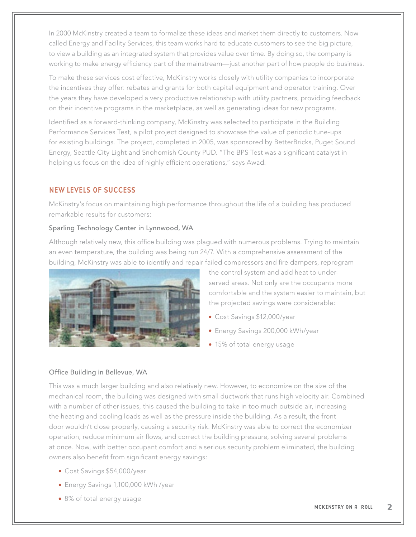In 2000 McKinstry created a team to formalize these ideas and market them directly to customers. Now called Energy and Facility Services, this team works hard to educate customers to see the big picture, to view a building as an integrated system that provides value over time. By doing so, the company is working to make energy efficiency part of the mainstream—just another part of how people do business.

To make these services cost effective, McKinstry works closely with utility companies to incorporate the incentives they offer: rebates and grants for both capital equipment and operator training. Over the years they have developed a very productive relationship with utility partners, providing feedback on their incentive programs in the marketplace, as well as generating ideas for new programs.

Identified as a forward-thinking company, McKinstry was selected to participate in the Building Performance Services Test, a pilot project designed to showcase the value of periodic tune-ups for existing buildings. The project, completed in 2005, was sponsored by BetterBricks, Puget Sound Energy, Seattle City Light and Snohomish County PUD. "The BPS Test was a significant catalyst in helping us focus on the idea of highly efficient operations," says Awad.

## New Levels of Success

McKinstry's focus on maintaining high performance throughout the life of a building has produced remarkable results for customers:

#### Sparling Technology Center in Lynnwood, WA

Although relatively new, this office building was plagued with numerous problems. Trying to maintain an even temperature, the building was being run 24/7. With a comprehensive assessment of the building, McKinstry was able to identify and repair failed compressors and fire dampers, reprogram



the control system and add heat to underserved areas. Not only are the occupants more comfortable and the system easier to maintain, but the projected savings were considerable:

- Cost Savings \$12,000/year
- Energy Savings 200,000 kWh/year
- 15% of total energy usage

### Office Building in Bellevue, WA

This was a much larger building and also relatively new. However, to economize on the size of the mechanical room, the building was designed with small ductwork that runs high velocity air. Combined with a number of other issues, this caused the building to take in too much outside air, increasing the heating and cooling loads as well as the pressure inside the building. As a result, the front door wouldn't close properly, causing a security risk. McKinstry was able to correct the economizer operation, reduce minimum air flows, and correct the building pressure, solving several problems at once. Now, with better occupant comfort and a serious security problem eliminated, the building owners also benefit from significant energy savings:

- Cost Savings \$54,000/year
- Energy Savings 1,100,000 kWh /year
- 8% of total energy usage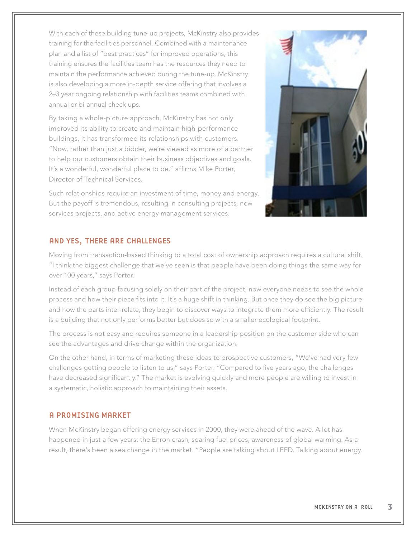With each of these building tune-up projects, McKinstry also provides training for the facilities personnel. Combined with a maintenance plan and a list of "best practices" for improved operations, this training ensures the facilities team has the resources they need to maintain the performance achieved during the tune-up. McKinstry is also developing a more in-depth service offering that involves a 2–3 year ongoing relationship with facilities teams combined with annual or bi-annual check-ups.

By taking a whole-picture approach, McKinstry has not only improved its ability to create and maintain high-performance buildings, it has transformed its relationships with customers. "Now, rather than just a bidder, we're viewed as more of a partner to help our customers obtain their business objectives and goals. It's a wonderful, wonderful place to be," affirms Mike Porter, Director of Technical Services.



Such relationships require an investment of time, money and energy. But the payoff is tremendous, resulting in consulting projects, new services projects, and active energy management services.

## And Yes, There are Challenges

Moving from transaction-based thinking to a total cost of ownership approach requires a cultural shift. "I think the biggest challenge that we've seen is that people have been doing things the same way for over 100 years," says Porter.

Instead of each group focusing solely on their part of the project, now everyone needs to see the whole process and how their piece fits into it. It's a huge shift in thinking. But once they do see the big picture and how the parts inter-relate, they begin to discover ways to integrate them more efficiently. The result is a building that not only performs better but does so with a smaller ecological footprint.

The process is not easy and requires someone in a leadership position on the customer side who can see the advantages and drive change within the organization.

On the other hand, in terms of marketing these ideas to prospective customers, "We've had very few challenges getting people to listen to us," says Porter. "Compared to five years ago, the challenges have decreased significantly." The market is evolving quickly and more people are willing to invest in a systematic, holistic approach to maintaining their assets.

## A Promising Market

When McKinstry began offering energy services in 2000, they were ahead of the wave. A lot has happened in just a few years: the Enron crash, soaring fuel prices, awareness of global warming. As a result, there's been a sea change in the market. "People are talking about LEED. Talking about energy.